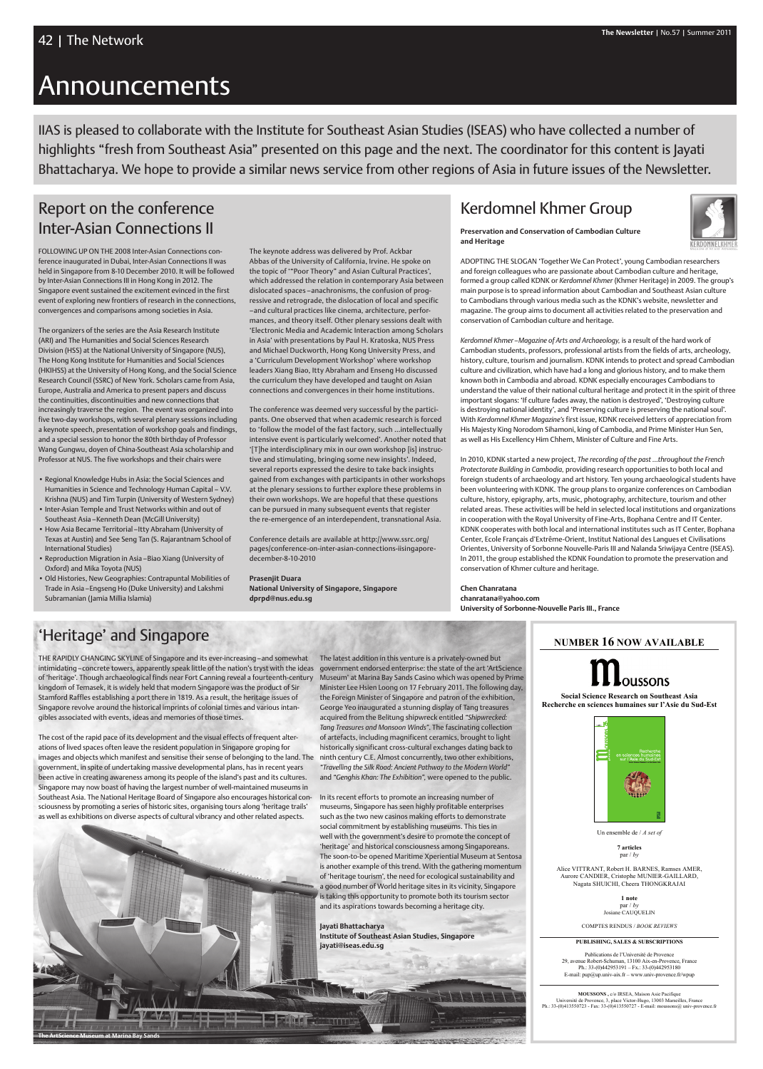# Announcements



Un ensemble de / *A set of*

Publications de l'Université de Provence 29, avenue Robert-Schuman, 13100 Aix-en-Provence, France Ph.: 33-(0)442953191 – Fx.: 33-(0)442953180 E-mail:  $pup@up.univ-ax.fr - www.univ-provence.fr/wpup$ 

Alice VITTRANT, Robert H. BARNES, Ramses AMER, Aurore CANDIER, Cristophe MUNIER-GAILLARD, Nagata SHUICHI, Cheera THONGKRAJAI

> **1 note** par / *by* Josiane CAUQUELIN

COMPTES RENDUS / *BOOK REVIEWS*

#### **PUBLISHING, SALES & SUBSCRIPTIONS**

**MOUSSONS ,** c/o IRSEA, Maison Asie Pacifique Université de Provence, 3, place Victor-Hugo, 13003 Marseilles, France Ph.: 33-(0)413550723 - Fax: 33-(0)413550727 - E-mail: moussons@ univ-provence.fr

IIAS is pleased to collaborate with the Institute for Southeast Asian Studies (ISEAS) who have collected a number of highlights "fresh from Southeast Asia" presented on this page and the next. The coordinator for this content is Jayati Bhattacharya. We hope to provide a similar news service from other regions of Asia in future issues of the Newsletter.

## Kerdomnel Khmer Group

**Preservation and Conservation of Cambodian Culture and Heritage**

Adopting the slogan 'Together We Can Protect', young Cambodian researchers and foreign colleagues who are passionate about Cambodian culture and heritage, formed a group called KDNK or *Kerdomnel Khmer* (Khmer Heritage) in 2009. The group's main purpose is to spread information about Cambodian and Southeast Asian culture to Cambodians through various media such as the KDNK's website, newsletter and magazine. The group aims to document all activities related to the preservation and conservation of Cambodian culture and heritage.

*Kerdomnel Khmer – Magazine of Arts and Archaeology,* is a result of the hard work of Cambodian students, professors, professional artists from the fields of arts, archeology, history, culture, tourism and journalism. KDNK intends to protect and spread Cambodian culture and civilization, which have had a long and glorious history, and to make them known both in Cambodia and abroad. KDNK especially encourages Cambodians to understand the value of their national cultural heritage and protect it in the spirit of three important slogans: 'If culture fades away, the nation is destroyed', 'Destroying culture is destroying national identity', and 'Preserving culture is preserving the national soul'. With *Kerdomnel Khmer Magazine's* first issue, KDNK received letters of appreciation from His Majesty King Norodom Sihamoni, king of Cambodia, and Prime Minister Hun Sen, as well as His Excellency Him Chhem, Minister of Culture and Fine Arts.

In 2010, KDNK started a new project, *The recording of the past …throughout the French Protectorate Building in Cambodia,* providing research opportunities to both local and foreign students of archaeology and art history. Ten young archaeological students have been volunteering with KDNK. The group plans to organize conferences on Cambodian culture, history, epigraphy, arts, music, photography, architecture, tourism and other related areas. These activities will be held in selected local institutions and organizations in cooperation with the Royal University of Fine-Arts, Bophana Centre and IT Center. KDNK cooperates with both local and international institutes such as IT Center, Bophana Center, Ecole Français d'Extrême-Orient, Institut National des Langues et Civilisations Orientes, University of Sorbonne Nouvelle-Paris III and Nalanda Sriwijaya Centre (ISEAS). In 2011, the group established the KDNK Foundation to promote the preservation and conservation of Khmer culture and heritage.

**Chen Chanratana chanratana@yahoo.com University of Sorbonne-Nouvelle Paris III., France**

Following up on the 2008 Inter-Asian Connections conference inaugurated in Dubai, Inter-Asian Connections II was held in Singapore from 8-10 December 2010. It will be followed by Inter-Asian Connections III in Hong Kong in 2012. The Singapore event sustained the excitement evinced in the first event of exploring new frontiers of research in the connections, convergences and comparisons among societies in Asia.

The organizers of the series are the Asia Research Institute (ARI) and The Humanities and Social Sciences Research Division (HSS) at the National University of Singapore (NUS), The Hong Kong Institute for Humanities and Social Sciences (HKIHSS) at the University of Hong Kong, and the Social Science Research Council (SSRC) of New York. Scholars came from Asia, Europe, Australia and America to present papers and discuss the continuities, discontinuities and new connections that increasingly traverse the region. The event was organized into five two-day workshops, with several plenary sessions including a keynote speech, presentation of workshop goals and findings, and a special session to honor the 80th birthday of Professor Wang Gungwu, doyen of China-Southeast Asia scholarship and Professor at NUS. The five workshops and their chairs were

intimidating–concrete towers, apparently speak little of the nation's tryst with the ideas  $\,$  government endorsed enterprise: the state of the art 'ArtScience THE RAPIDLY CHANGING SKYLINE of Singapore and its ever-increasing - and somewhat of 'heritage'. Though archaeological finds near Fort Canning reveal a fourteenth-century kingdom of Temasek, it is widely held that modern Singapore was the product of Sir Stamford Raffles establishing a port there in 1819. As a result, the heritage issues of Singapore revolve around the historical imprints of colonial times and various intangibles associated with events, ideas and memories of those times.

- Regional Knowledge Hubs in Asia: the Social Sciences and Humanities in Science and Technology Human Capital – V.V. Krishna (NUS) and Tim Turpin (University of Western Sydney)
- Inter-Asian Temple and Trust Networks within and out of Southeast Asia – Kenneth Dean (McGill University)
- How Asia Became Territorial Itty Abraham (University of Texas at Austin) and See Seng Tan (S. Rajarantnam School of International Studies)
- Reproduction Migration in Asia Biao Xiang (University of Oxford) and Mika Toyota (NUS)
- Old Histories, New Geographies: Contrapuntal Mobilities of Trade in Asia – Engseng Ho (Duke University) and Lakshmi Subramanian (Jamia Millia Islamia)

The latest addition in this venture is a privately-owned but Museum' at Marina Bay Sands Casino which was opened by Prime Minister Lee Hsien Loong on 17 February 2011. The following day, the Foreign Minister of Singapore and patron of the exhibition, George Yeo inaugurated a stunning display of Tang treasures acquired from the Belitung shipwreck entitled *"Shipwrecked: Tang Treasures and Monsoon Winds"*. The fascinating collection of artefacts, including magnificent ceramics, brought to light historically significant cross-cultural exchanges dating back to ninth century C.E. Almost concurrently, two other exhibitions, *"Travelling the Silk Road: Ancient Pathway to the Modern World"* and *"Genghis Khan: The Exhibition",* were opened to the public.

In its recent efforts to promote an increasing number of museums, Singapore has seen highly profitable enterprises

such as the two new casinos making efforts to demonstrate social commitment by establishing museums. This ties in well with the government's desire to promote the concept of 'heritage' and historical consciousness among Singaporeans. The soon-to-be opened Maritime Xperiential Museum at Sentosa is another example of this trend. With the gathering momentum of 'heritage tourism', the need for ecological sustainability and a good number of World heritage sites in its vicinity, Singapore is taking this opportunity to promote both its tourism sector and its aspirations towards becoming a heritage city.

**Jayati Bhattacharya Institute of Southeast Asian Studies, Singapore jayati@iseas.edu.sg**



The keynote address was delivered by Prof. Ackbar Abbas of the University of California, Irvine. He spoke on the topic of '"Poor Theory" and Asian Cultural Practices', which addressed the relation in contemporary Asia between dislocated spaces – anachronisms, the confusion of progressive and retrograde, the dislocation of local and specific – and cultural practices like cinema, architecture, performances, and theory itself. Other plenary sessions dealt with 'Electronic Media and Academic Interaction among Scholars in Asia' with presentations by Paul H. Kratoska, NUS Press and Michael Duckworth, Hong Kong University Press, and a 'Curriculum Development Workshop' where workshop leaders Xiang Biao, Itty Abraham and Enseng Ho discussed the curriculum they have developed and taught on Asian connections and convergences in their home institutions.

The conference was deemed very successful by the participants. One observed that when academic research is forced to 'follow the model of the fast factory, such …intellectually intensive event is particularly welcomed'. Another noted that '[T]he interdisciplinary mix in our own workshop [is] instructive and stimulating, bringing some new insights'. Indeed, several reports expressed the desire to take back insights gained from exchanges with participants in other workshops at the plenary sessions to further explore these problems in their own workshops. We are hopeful that these questions can be pursued in many subsequent events that register the re-emergence of an interdependent, transnational Asia.

Conference details are available at http://www.ssrc.org/ pages/conference-on-inter-asian-connections-iisingaporedecember-8-10-2010

**Prasenjit Duara National University of Singapore, Singapore dprpd@nus.edu.sg**

## 'Heritage' and Singapore

The cost of the rapid pace of its development and the visual effects of frequent alterations of lived spaces often leave the resident population in Singapore groping for images and objects which manifest and sensitise their sense of belonging to the land. The government, in spite of undertaking massive developmental plans, has in recent years been active in creating awareness among its people of the island's past and its cultures. Singapore may now boast of having the largest number of well-maintained museums in Southeast Asia. The National Heritage Board of Singapore also encourages historical consciousness by promoting a series of historic sites, organising tours along 'heritage trails'

as well as exhibitions on diverse aspects of cultural vibrancy and other related aspects.

**The ArtScience Museum at Marina Bay Sands**

## Report on the conference Inter-Asian Connections II

**<sup>7</sup> articles** par / *by*